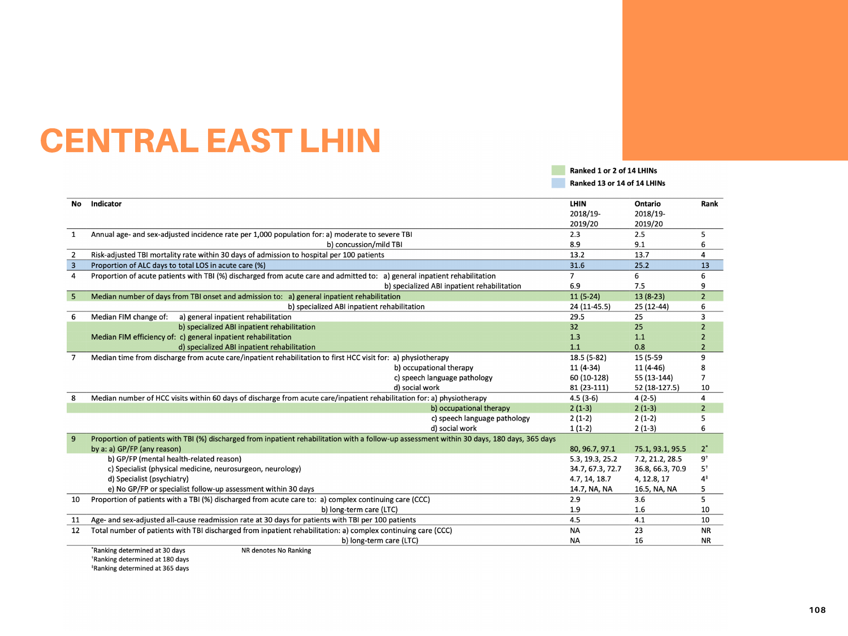# CENTRAL EAST LHIN

No Indicator

| $\mathbf{1}$   | Annual age- and sex-adjusted incidence rate per 1,000 population for: a) moderate to severe TBI<br>b) concussion/mild TBI                                           |  |
|----------------|---------------------------------------------------------------------------------------------------------------------------------------------------------------------|--|
| $\overline{2}$ | Risk-adjusted TBI mortality rate within 30 days of admission to hospital per 100 patients                                                                           |  |
| $\overline{3}$ | Proportion of ALC days to total LOS in acute care (%)                                                                                                               |  |
| 4              | Proportion of acute patients with TBI (%) discharged from acute care and admitted to: a) general inpatien<br>b) specialized ABI                                     |  |
| 5 <sup>5</sup> | Median number of days from TBI onset and admission to: a) general inpatient rehabilitation                                                                          |  |
|                | b) specialized ABI inpatient rehabilitation                                                                                                                         |  |
| 6              | Median FIM change of:<br>a) general inpatient rehabilitation                                                                                                        |  |
|                | b) specialized ABI inpatient rehabilitation                                                                                                                         |  |
|                | Median FIM efficiency of: c) general inpatient rehabilitation                                                                                                       |  |
|                | d) specialized ABI inpatient rehabilitation                                                                                                                         |  |
| 7              | Median time from discharge from acute care/inpatient rehabilitation to first HCC visit for: a) physiotherap<br>b) occupational<br>c) speech langu<br>d) social work |  |
| 8              | Median number of HCC visits within 60 days of discharge from acute care/inpatient rehabilitation for: a) pl                                                         |  |
|                | $b)$ or                                                                                                                                                             |  |
|                | c) sp                                                                                                                                                               |  |
|                | d) sc                                                                                                                                                               |  |
| 9              | Proportion of patients with TBI (%) discharged from inpatient rehabilitation with a follow-up assessment w<br>by a: a) GP/FP (any reason)                           |  |
|                | b) GP/FP (mental health-related reason)                                                                                                                             |  |
|                | c) Specialist (physical medicine, neurosurgeon, neurology)                                                                                                          |  |
|                | d) Specialist (psychiatry)                                                                                                                                          |  |
|                | e) No GP/FP or specialist follow-up assessment within 30 days                                                                                                       |  |
| 10             | Proportion of patients with a TBI (%) discharged from acute care to: a) complex continuing care (CCC)                                                               |  |
|                | b) long-term care (LTC)                                                                                                                                             |  |
| 11             | Age- and sex-adjusted all-cause readmission rate at 30 days for patients with TBI per 100 patients                                                                  |  |
| 12             | Total number of patients with TBI discharged from inpatient rehabilitation: a) complex continuing care (CC                                                          |  |
|                | b) long-term care (LTC)                                                                                                                                             |  |
|                | *Ranking determined at 30 days<br>NR denotes No Ranking                                                                                                             |  |
|                | <sup>†</sup> Ranking determined at 180 days                                                                                                                         |  |
|                | *Ranking determined at 365 days                                                                                                                                     |  |

| Ranked 1 or 2 of 14 LHINs   |  |  |  |
|-----------------------------|--|--|--|
| Ranked 13 or 14 of 14 LHINs |  |  |  |

|                                    | <b>LHIN</b>      | <b>Ontario</b>   | Rank           |
|------------------------------------|------------------|------------------|----------------|
|                                    | 2018/19-         | 2018/19-         |                |
|                                    | 2019/20          | 2019/20          |                |
|                                    | 2.3              | 2.5              | 5              |
|                                    | 8.9              | 9.1              | 6              |
|                                    | 13.2             | 13.7             | 4              |
|                                    | 31.6             | 25.2             | 13             |
| nt rehabilitation                  | 7                | 6                | 6              |
| inpatient rehabilitation           | 6.9              | 7.5              | 9              |
|                                    | $11(5-24)$       | $13(8-23)$       | $\overline{2}$ |
|                                    | 24 (11-45.5)     | 25 (12-44)       | 6              |
|                                    | 29.5             | 25               | 3              |
|                                    | 32               | 25               | 2              |
|                                    | 1.3              | 1.1              | $\overline{2}$ |
|                                    | 1.1              | 0.8              | $\overline{2}$ |
| py                                 | 18.5 (5-82)      | 15 (5-59         | 9              |
| al therapy                         | 11 (4-34)        | $11(4-46)$       | 8              |
| uage pathology                     | 60 (10-128)      | 55 (13-144)      | 7              |
|                                    | 81 (23-111)      | 52 (18-127.5)    | 10             |
| hysiotherapy                       | $4.5(3-6)$       | $4(2-5)$         | 4              |
| ccupational therapy                | $2(1-3)$         | $2(1-3)$         | $\overline{2}$ |
| peech language pathology           | $2(1-2)$         | $2(1-2)$         | 5              |
| ocial work                         | $1(1-2)$         | $2(1-3)$         | 6              |
| within 30 days, 180 days, 365 days |                  |                  |                |
|                                    | 80, 96.7, 97.1   | 75.1, 93.1, 95.5 | $2^*$          |
|                                    | 5.3, 19.3, 25.2  | 7.2, 21.2, 28.5  | $9^{\dagger}$  |
|                                    | 34.7, 67.3, 72.7 | 36.8, 66.3, 70.9 | $5^+$          |
|                                    | 4.7, 14, 18.7    | 4, 12.8, 17      | 4 <sup>‡</sup> |
|                                    | 14.7, NA, NA     | 16.5, NA, NA     | 5              |
|                                    | 2.9              | 3.6              | 5              |
|                                    | 1.9              | 1.6              | 10             |
|                                    | 4.5              | 4.1              | 10             |
| CC)                                | NA               | 23               | <b>NR</b>      |
|                                    | ΝA               | 16               | <b>NR</b>      |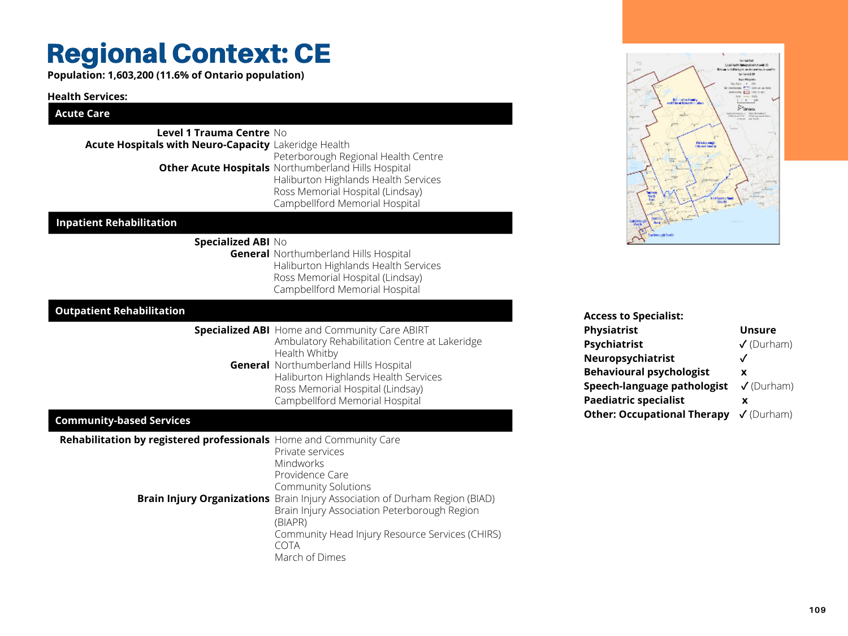#### **Health Services:**

## **Acute Care**

## Regional Context: CE

**Population: 1,603,200 (11.6% of Ontario population)**

## **Community-based Services**

| <b>Acute Hospitals with Neuro-Capacity</b> Lakeridge Health | <b>Level 1 Trauma Centre No</b> | Peterborough Regional Health Centre                                                                                                                               |
|-------------------------------------------------------------|---------------------------------|-------------------------------------------------------------------------------------------------------------------------------------------------------------------|
|                                                             |                                 | Other Acute Hospitals Northumberland Hills Hospital<br>Haliburton Highlands Health Services<br>Ross Memorial Hospital (Lindsay)<br>Campbellford Memorial Hospital |
| <b>Inpatient Rehabilitation</b>                             |                                 |                                                                                                                                                                   |
|                                                             | <b>Specialized ABI No</b>       | <b>General</b> Northumberland Hills Hospital<br>Haliburton Highlands Health Services<br>Ross Memorial Hospital (Lindsay)<br>Campbellford Memorial Hospital        |
| <b>Outpatient Rehabilitation</b>                            |                                 |                                                                                                                                                                   |
|                                                             |                                 | <b>Specialized ABI</b> Home and Community Care ABIRT<br>Ambulatory Rehabilitation Centre at La                                                                    |

| <b>Rehabilitation by registered professionals</b> Home and Community Care | Private services<br><b>Mindworks</b><br>Providence Care<br><b>Community Solutions</b>                                                                                                                                            |
|---------------------------------------------------------------------------|----------------------------------------------------------------------------------------------------------------------------------------------------------------------------------------------------------------------------------|
|                                                                           | <b>Brain Injury Organizations</b> Brain Injury Association of Durham Region (BIAD)<br>Brain Injury Association Peterborough Region<br>(BIAPR)<br>Community Head Injury Resource Services (CHIRS<br><b>COTA</b><br>March of Dimes |



akeridge

**General** Northumberland Hills Hospital Health Whitby Haliburton Highlands Health Services Ross Memorial Hospital (Lindsay) Campbellford Memorial Hospital

| <b>Access to Specialist:</b>                              |                    |
|-----------------------------------------------------------|--------------------|
| Physiatrist                                               | <b>Unsure</b>      |
| <b>Psychiatrist</b>                                       | $V$ (Durham)       |
| Neuropsychiatrist                                         |                    |
| <b>Behavioural psychologist</b>                           | X                  |
| <b>Speech-language pathologist</b>                        | $\sqrt{}$ (Durham) |
| <b>Paediatric specialist</b>                              | X                  |
| <b>Other: Occupational Therapy </b> $\checkmark$ (Durham) |                    |
|                                                           |                    |

vices (CHIRS)